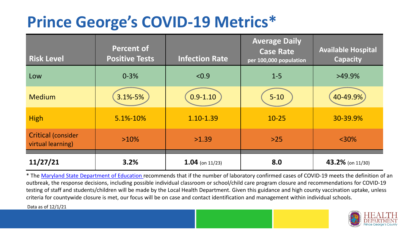## **Prince George's COVID-19 Metrics\***

| <b>Risk Level</b>                       | <b>Percent of</b><br><b>Positive Tests</b> | <b>Infection Rate</b> | <b>Average Daily</b><br><b>Case Rate</b><br>per 100,000 population | <b>Available Hospital</b><br><b>Capacity</b> |
|-----------------------------------------|--------------------------------------------|-----------------------|--------------------------------------------------------------------|----------------------------------------------|
| Low                                     | $0 - 3%$                                   | < 0.9                 | $1 - 5$                                                            | $>49.9\%$                                    |
| <b>Medium</b>                           | 3.1%-5%                                    | $0.9 - 1.10$          | $5 - 10$                                                           | 40-49.9%                                     |
| <b>High</b>                             | 5.1%-10%                                   | 1.10-1.39             | $10 - 25$                                                          | 30-39.9%                                     |
| Critical (consider<br>virtual learning) | $>10\%$                                    | >1.39                 | $>25$                                                              | $<$ 30%                                      |
| 11/27/21                                | 3.2%                                       | $1.04$ (on 11/23)     | 8.0                                                                | 43.2% (on 11/30)                             |

\* The [Maryland State Department of Education r](https://earlychildhood.marylandpublicschools.org/system/files/filedepot/3/covid_guidance_full_080420.pdf)ecommends that if the number of laboratory confirmed cases of COVID-19 meets the definition of an outbreak, the response decisions, including possible individual classroom or school/child care program closure and recommendations for COVID-19 testing of staff and students/children will be made by the Local Health Department. Given this guidance and high county vaccination uptake, unless criteria for countywide closure is met, our focus will be on case and contact identification and management within individual schools.

Data as of 12/1/21

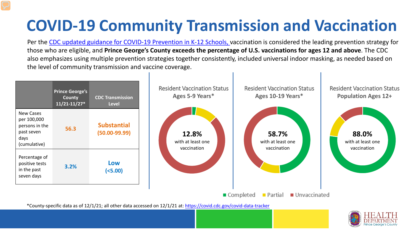# **COVID-19 Community Transmission and Vaccination**

Per the [CDC updated guidance for COVID-19 Prevention in K-12 Schools,](https://www.cdc.gov/coronavirus/2019-ncov/community/schools-childcare/k-12-guidance.html) vaccination is considered the leading prevention strategy for those who are eligible, and **Prince George's County exceeds the percentage of U.S. vaccinations for ages 12 and above**. The CDC also emphasizes using multiple prevention strategies together consistently, included universal indoor masking, as needed based on the level of community transmission and vaccine coverage.



\*County-specific data as of 12/1/21; all other data accessed on 12/1/21 at:<https://covid.cdc.gov/covid-data-tracker>

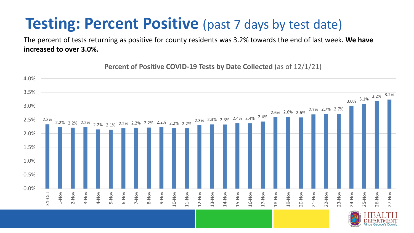### **Testing: Percent Positive** (past 7 days by test date)

The percent of tests returning as positive for county residents was 3.2% towards the end of last week. **We have increased to over 3.0%.** 

**Percent of Positive COVID-19 Tests by Date Collected** (as of 12/1/21)

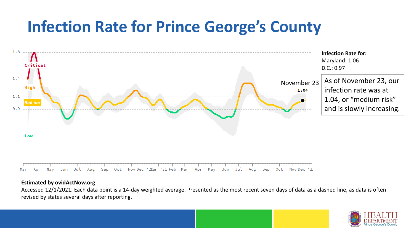## **Infection Rate for Prince George's County**



#### **Estimated by ovidActNow.org**

Accessed 12/1/2021. Each data point is a 14-day weighted average. Presented as the most recent seven days of data as a dashed line, as data is often revised by states several days after reporting.

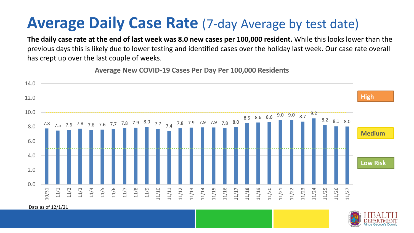### **Average Daily Case Rate** (7-day Average by test date)

**The daily case rate at the end of last week was 8.0 new cases per 100,000 resident.** While this looks lower than the previous days this is likely due to lower testing and identified cases over the holiday last week. Our case rate overall has crept up over the last couple of weeks.

**Average New COVID-19 Cases Per Day Per 100,000 Residents**



Data as of 12/1/21